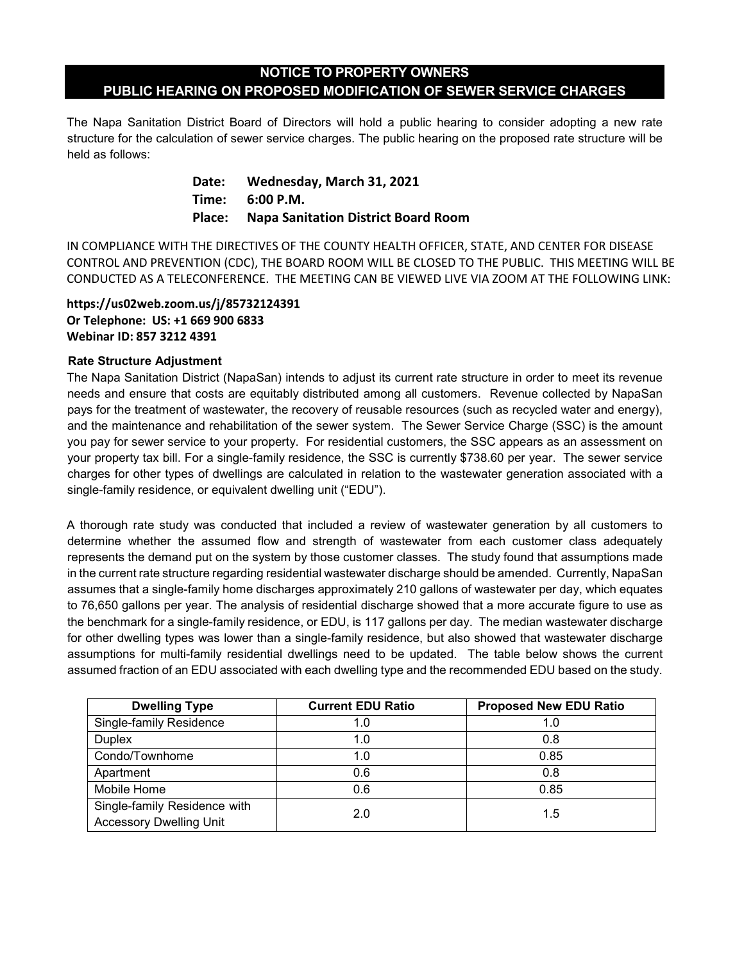# **NOTICE TO PROPERTY OWNERS PUBLIC HEARING ON PROPOSED MODIFICATION OF SEWER SERVICE CHARGES**

The Napa Sanitation District Board of Directors will hold a public hearing to consider adopting a new rate structure for the calculation of sewer service charges. The public hearing on the proposed rate structure will be held as follows:

- **Date: Wednesday, March 31, 2021**
- **Time: 6:00 P.M.**

## **Place: Napa Sanitation District Board Room**

IN COMPLIANCE WITH THE DIRECTIVES OF THE COUNTY HEALTH OFFICER, STATE, AND CENTER FOR DISEASE CONTROL AND PREVENTION (CDC), THE BOARD ROOM WILL BE CLOSED TO THE PUBLIC. THIS MEETING WILL BE CONDUCTED AS A TELECONFERENCE. THE MEETING CAN BE VIEWED LIVE VIA ZOOM AT THE FOLLOWING LINK:

#### **https://us02web.zoom.us/j/85732124391 Or Telephone: US: +1 669 900 6833 Webinar ID: 857 3212 4391**

## **Rate Structure Adjustment**

The Napa Sanitation District (NapaSan) intends to adjust its current rate structure in order to meet its revenue needs and ensure that costs are equitably distributed among all customers. Revenue collected by NapaSan pays for the treatment of wastewater, the recovery of reusable resources (such as recycled water and energy), and the maintenance and rehabilitation of the sewer system. The Sewer Service Charge (SSC) is the amount you pay for sewer service to your property. For residential customers, the SSC appears as an assessment on your property tax bill. For a single-family residence, the SSC is currently \$738.60 per year. The sewer service charges for other types of dwellings are calculated in relation to the wastewater generation associated with a single-family residence, or equivalent dwelling unit ("EDU").

A thorough rate study was conducted that included a review of wastewater generation by all customers to determine whether the assumed flow and strength of wastewater from each customer class adequately represents the demand put on the system by those customer classes. The study found that assumptions made in the current rate structure regarding residential wastewater discharge should be amended. Currently, NapaSan assumes that a single-family home discharges approximately 210 gallons of wastewater per day, which equates to 76,650 gallons per year. The analysis of residential discharge showed that a more accurate figure to use as the benchmark for a single-family residence, or EDU, is 117 gallons per day. The median wastewater discharge for other dwelling types was lower than a single-family residence, but also showed that wastewater discharge assumptions for multi-family residential dwellings need to be updated. The table below shows the current assumed fraction of an EDU associated with each dwelling type and the recommended EDU based on the study.

| <b>Dwelling Type</b>                                           | <b>Current EDU Ratio</b> | <b>Proposed New EDU Ratio</b> |
|----------------------------------------------------------------|--------------------------|-------------------------------|
| Single-family Residence                                        | 1.0                      | 1.0                           |
| <b>Duplex</b>                                                  | 1.0                      | 0.8                           |
| Condo/Townhome                                                 | 1.0                      | 0.85                          |
| Apartment                                                      | 0.6                      | 0.8                           |
| Mobile Home                                                    | 0.6                      | 0.85                          |
| Single-family Residence with<br><b>Accessory Dwelling Unit</b> | 2.0                      | 1.5                           |